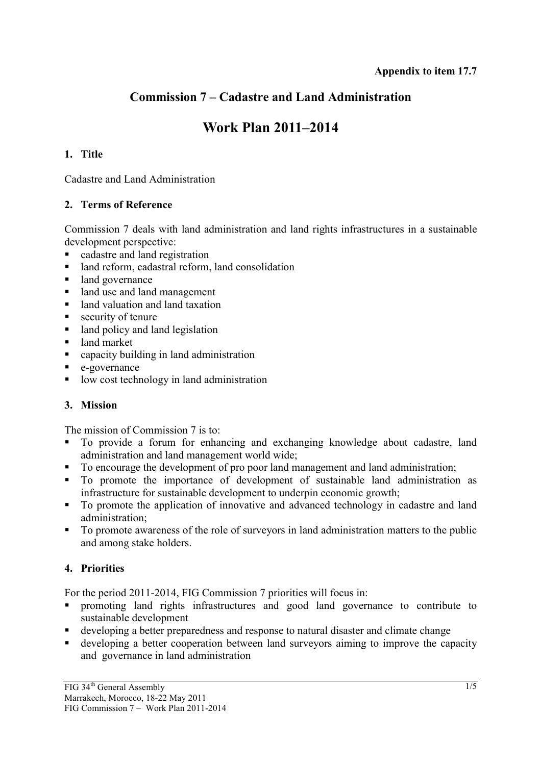# **Commission 7 – Cadastre and Land Administration**

# **Work Plan 2011–2014**

# **1. Title**

Cadastre and Land Administration

# **2. Terms of Reference**

Commission 7 deals with land administration and land rights infrastructures in a sustainable development perspective:

- cadastre and land registration
- land reform, cadastral reform, land consolidation
- land governance
- land use and land management
- land valuation and land taxation
- $\blacksquare$  security of tenure
- land policy and land legislation
- land market
- capacity building in land administration
- e-governance
- low cost technology in land administration

# **3. Mission**

The mission of Commission 7 is to:

- To provide a forum for enhancing and exchanging knowledge about cadastre, land administration and land management world wide;
- To encourage the development of pro poor land management and land administration;
- To promote the importance of development of sustainable land administration as infrastructure for sustainable development to underpin economic growth;
- To promote the application of innovative and advanced technology in cadastre and land administration;
- To promote awareness of the role of surveyors in land administration matters to the public and among stake holders.

# **4. Priorities**

For the period 2011-2014, FIG Commission 7 priorities will focus in:

- promoting land rights infrastructures and good land governance to contribute to sustainable development
- developing a better preparedness and response to natural disaster and climate change
- developing a better cooperation between land surveyors aiming to improve the capacity and governance in land administration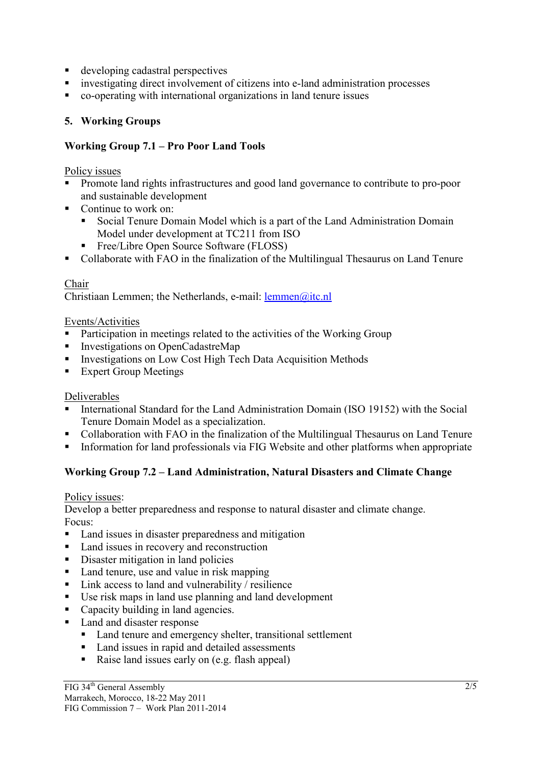- developing cadastral perspectives
- investigating direct involvement of citizens into e-land administration processes
- co-operating with international organizations in land tenure issues

### **5. Working Groups**

### **Working Group 7.1 – Pro Poor Land Tools**

Policy issues

- Promote land rights infrastructures and good land governance to contribute to pro-poor and sustainable development
- Continue to work on:
	- Social Tenure Domain Model which is a part of the Land Administration Domain Model under development at TC211 from ISO
	- Free/Libre Open Source Software (FLOSS)
- Collaborate with FAO in the finalization of the Multilingual Thesaurus on Land Tenure

#### Chair

Christiaan Lemmen; the Netherlands, e-mail: lemmen@itc.nl

#### Events/Activities

- Participation in meetings related to the activities of the Working Group
- Investigations on OpenCadastreMap
- **Investigations on Low Cost High Tech Data Acquisition Methods**
- **Expert Group Meetings**

#### Deliverables

- International Standard for the Land Administration Domain (ISO 19152) with the Social Tenure Domain Model as a specialization.
- Collaboration with FAO in the finalization of the Multilingual Thesaurus on Land Tenure
- Information for land professionals via FIG Website and other platforms when appropriate

# **Working Group 7.2 – Land Administration, Natural Disasters and Climate Change**

#### Policy issues:

Develop a better preparedness and response to natural disaster and climate change. Focus:

- Land issues in disaster preparedness and mitigation
- Land issues in recovery and reconstruction
- Disaster mitigation in land policies
- Land tenure, use and value in risk mapping
- $\blacksquare$  Link access to land and vulnerability / resilience
- Use risk maps in land use planning and land development
- Capacity building in land agencies.
- Land and disaster response
	- Land tenure and emergency shelter, transitional settlement
	- Land issues in rapid and detailed assessments
	- Raise land issues early on (e.g. flash appeal)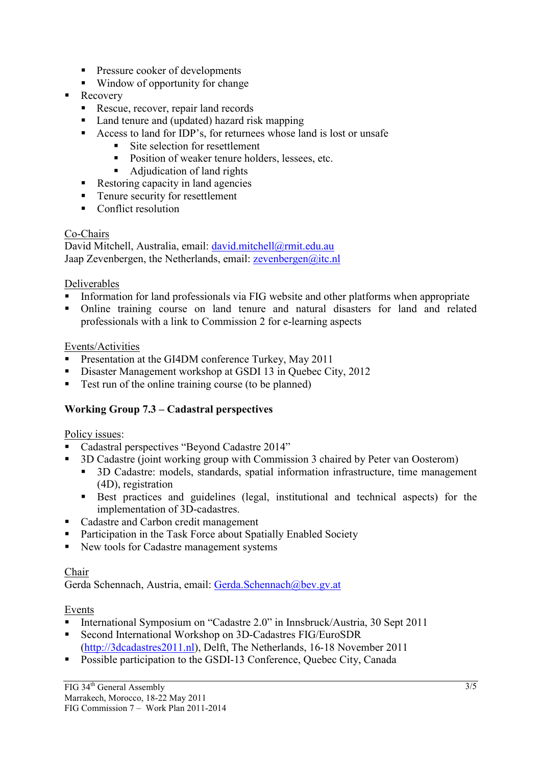- **Pressure cooker of developments**
- Window of opportunity for change
- Recovery
	- Rescue, recover, repair land records
	- Land tenure and (updated) hazard risk mapping
	- Access to land for IDP's, for returnees whose land is lost or unsafe
		- Site selection for resettlement
		- Position of weaker tenure holders, lessees, etc.
		- Adjudication of land rights
	- Restoring capacity in land agencies
	- Tenure security for resettlement
	- Conflict resolution

#### Co-Chairs

David Mitchell, Australia, email: david.mitchell@rmit.edu.au Jaap Zevenbergen, the Netherlands, email: zevenbergen@itc.nl

#### Deliverables

- Information for land professionals via FIG website and other platforms when appropriate
- Online training course on land tenure and natural disasters for land and related professionals with a link to Commission 2 for e-learning aspects

#### Events/Activities

- Presentation at the GI4DM conference Turkey, May 2011
- Disaster Management workshop at GSDI 13 in Quebec City, 2012
- Test run of the online training course (to be planned)

# **Working Group 7.3 – Cadastral perspectives**

#### Policy issues:

- Cadastral perspectives "Beyond Cadastre 2014"
- 3D Cadastre (joint working group with Commission 3 chaired by Peter van Oosterom)
	- <sup>3D</sup> Cadastre: models, standards, spatial information infrastructure, time management (4D), registration
	- Best practices and guidelines (legal, institutional and technical aspects) for the implementation of 3D-cadastres.
- Cadastre and Carbon credit management
- Participation in the Task Force about Spatially Enabled Society
- New tools for Cadastre management systems

#### Chair

Gerda Schennach, Austria, email: Gerda.Schennach@bev.gv.at

#### Events

- International Symposium on "Cadastre 2.0" in Innsbruck/Austria, 30 Sept 2011
- Second International Workshop on 3D-Cadastres FIG/EuroSDR (http://3dcadastres2011.nl), Delft, The Netherlands, 16-18 November 2011
- **Possible participation to the GSDI-13 Conference, Quebec City, Canada**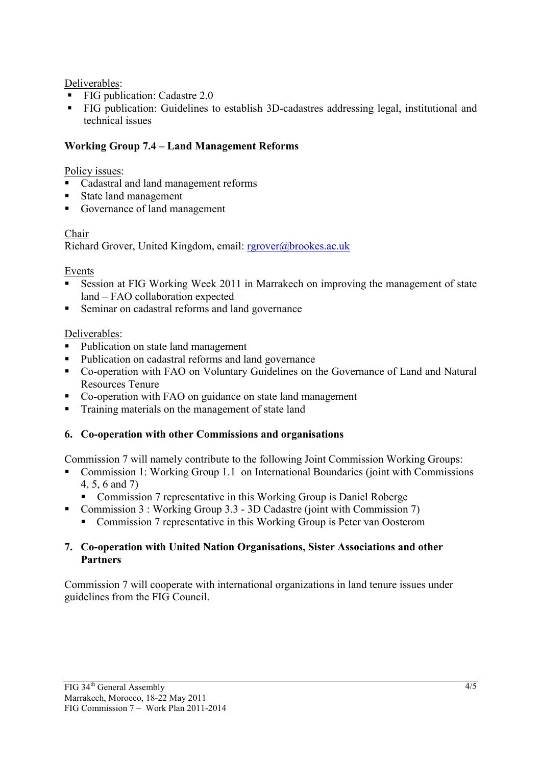# Deliverables:

- FIG publication: Cadastre 2.0
- FIG publication: Guidelines to establish 3D-cadastres addressing legal, institutional and technical issues

# **Working Group 7.4 – Land Management Reforms**

# Policy issues:

- Cadastral and land management reforms
- State land management
- Governance of land management

# Chair

Richard Grover, United Kingdom, email: rgrover@brookes.ac.uk

# Events

- Session at FIG Working Week 2011 in Marrakech on improving the management of state land – FAO collaboration expected
- Seminar on cadastral reforms and land governance

# Deliverables:

- Publication on state land management
- Publication on cadastral reforms and land governance
- Co-operation with FAO on Voluntary Guidelines on the Governance of Land and Natural Resources Tenure
- Co-operation with FAO on guidance on state land management
- **Training materials on the management of state land**

# **6. Co-operation with other Commissions and organisations**

Commission 7 will namely contribute to the following Joint Commission Working Groups:

- Commission 1: Working Group 1.1 on International Boundaries (joint with Commissions 4, 5, 6 and 7)
	- Commission 7 representative in this Working Group is Daniel Roberge
- Commission 3 : Working Group 3.3 3D Cadastre (joint with Commission 7)
	- Commission 7 representative in this Working Group is Peter van Oosterom

#### **7. Co-operation with United Nation Organisations, Sister Associations and other Partners**

Commission 7 will cooperate with international organizations in land tenure issues under guidelines from the FIG Council.